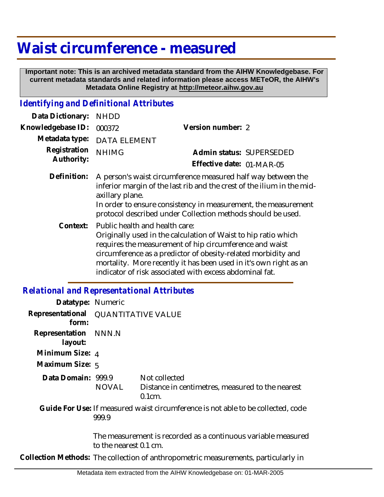# **Waist circumference - measured**

 **Important note: This is an archived metadata standard from the AIHW Knowledgebase. For current metadata standards and related information please access METeOR, the AIHW's Metadata Online Registry at http://meteor.aihw.gov.au**

#### *Identifying and Definitional Attributes*

| Data Dictionary:           | <b>NHDD</b>                                                                                                                                                                                                                                                                                                                                                           |                           |  |
|----------------------------|-----------------------------------------------------------------------------------------------------------------------------------------------------------------------------------------------------------------------------------------------------------------------------------------------------------------------------------------------------------------------|---------------------------|--|
| Knowledgebase ID:          | 000372                                                                                                                                                                                                                                                                                                                                                                | Version number: 2         |  |
| Metadata type:             | <b>DATA ELEMENT</b>                                                                                                                                                                                                                                                                                                                                                   |                           |  |
| Registration<br>Authority: | <b>NHIMG</b>                                                                                                                                                                                                                                                                                                                                                          | Admin status: SUPERSEDED  |  |
|                            |                                                                                                                                                                                                                                                                                                                                                                       | Effective date: 01-MAR-05 |  |
| Definition:                | A person's waist circumference measured half way between the<br>inferior margin of the last rib and the crest of the ilium in the mid-<br>axillary plane.<br>In order to ensure consistency in measurement, the measurement<br>protocol described under Collection methods should be used.                                                                            |                           |  |
|                            | Context: Public health and health care:<br>Originally used in the calculation of Waist to hip ratio which<br>requires the measurement of hip circumference and waist<br>circumference as a predictor of obesity-related morbidity and<br>mortality. More recently it has been used in it's own right as an<br>indicator of risk associated with excess abdominal fat. |                           |  |

### *Relational and Representational Attributes*

| Datatype: Numeric         |                                                                                           |                                                                                |  |
|---------------------------|-------------------------------------------------------------------------------------------|--------------------------------------------------------------------------------|--|
| Representational<br>form: | QUANTITATIVE VALUE                                                                        |                                                                                |  |
| Representation<br>layout: | NNN.N                                                                                     |                                                                                |  |
| Minimum Size: 4           |                                                                                           |                                                                                |  |
| Maximum Size: 5           |                                                                                           |                                                                                |  |
| Data Domain: 999.9        | NOVAL                                                                                     | Not collected<br>Distance in centimetres, measured to the nearest<br>$0.1cm$ . |  |
|                           | Guide For Use: If measured waist circumference is not able to be collected, code<br>999.9 |                                                                                |  |
|                           | The measurement is recorded as a continuous variable measured<br>to the nearest 0.1 cm.   |                                                                                |  |
|                           | Collection Methods: The collection of anthropometric measurements, particularly in        |                                                                                |  |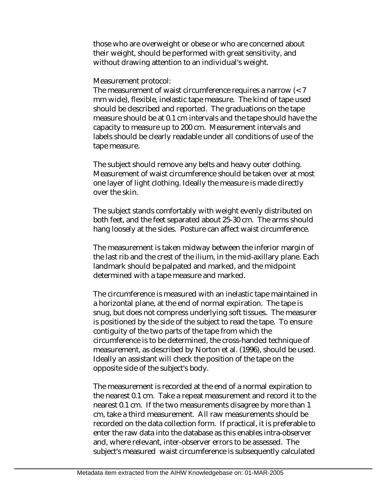those who are overweight or obese or who are concerned about their weight, should be performed with great sensitivity, and without drawing attention to an individual's weight.

Measurement protocol:

The measurement of waist circumference requires a narrow (< 7 mm wide), flexible, inelastic tape measure. The kind of tape used should be described and reported. The graduations on the tape measure should be at 0.1 cm intervals and the tape should have the capacity to measure up to 200 cm. Measurement intervals and labels should be clearly readable under all conditions of use of the tape measure.

The subject should remove any belts and heavy outer clothing. Measurement of waist circumference should be taken over at most one layer of light clothing. Ideally the measure is made directly over the skin.

The subject stands comfortably with weight evenly distributed on both feet, and the feet separated about 25-30 cm. The arms should hang loosely at the sides. Posture can affect waist circumference.

The measurement is taken midway between the inferior margin of the last rib and the crest of the ilium, in the mid-axillary plane. Each landmark should be palpated and marked, and the midpoint determined with a tape measure and marked.

The circumference is measured with an inelastic tape maintained in a horizontal plane, at the end of normal expiration. The tape is snug, but does not compress underlying soft tissues. The measurer is positioned by the side of the subject to read the tape. To ensure contiguity of the two parts of the tape from which the circumference is to be determined, the cross-handed technique of measurement, as described by Norton et al. (1996), should be used. Ideally an assistant will check the position of the tape on the opposite side of the subject's body.

The measurement is recorded at the end of a normal expiration to the nearest 0.1 cm. Take a repeat measurement and record it to the nearest 0.1 cm. If the two measurements disagree by more than 1 cm, take a third measurement. All raw measurements should be recorded on the data collection form. If practical, it is preferable to enter the raw data into the database as this enables intra-observer and, where relevant, inter-observer errors to be assessed. The subject's measured waist circumference is subsequently calculated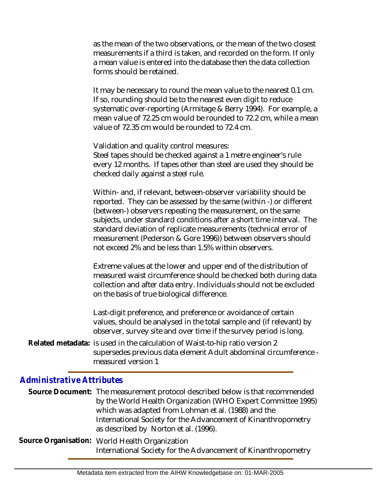as the mean of the two observations, or the mean of the two closest measurements if a third is taken, and recorded on the form. If only a mean value is entered into the database then the data collection forms should be retained.

It may be necessary to round the mean value to the nearest 0.1 cm. If so, rounding should be to the nearest even digit to reduce systematic over-reporting (Armitage & Berry 1994). For example, a mean value of 72.25 cm would be rounded to 72.2 cm, while a mean value of 72.35 cm would be rounded to 72.4 cm.

Validation and quality control measures:

Steel tapes should be checked against a 1 metre engineer's rule every 12 months. If tapes other than steel are used they should be checked daily against a steel rule.

Within- and, if relevant, between-observer variability should be reported. They can be assessed by the same (within -) or different (between-) observers repeating the measurement, on the same subjects, under standard conditions after a short time interval. The standard deviation of replicate measurements (technical error of measurement (Pederson & Gore 1996)) between observers should not exceed 2% and be less than 1.5% within observers.

Extreme values at the lower and upper end of the distribution of measured waist circumference should be checked both during data collection and after data entry. Individuals should not be excluded on the basis of true biological difference.

Last-digit preference, and preference or avoidance of certain values, should be analysed in the total sample and (if relevant) by observer, survey site and over time if the survey period is long.

Related metadata: is used in the calculation of Waist-to-hip ratio version 2 supersedes previous data element Adult abdominal circumference measured version 1

## *Administrative Attributes*

Source Document: The measurement protocol described below is that recommended by the World Health Organization (WHO Expert Committee 1995) which was adapted from Lohman et al. (1988) and the International Society for the Advancement of Kinanthropometry as described by Norton et al. (1996).

Source Organisation: World Health Organization International Society for the Advancement of Kinanthropometry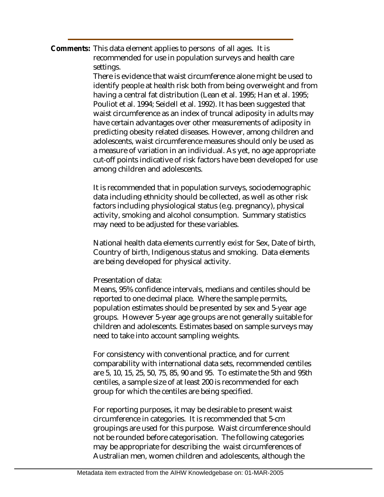Comments: This data element applies to persons of all ages. It is recommended for use in population surveys and health care settings.

> There is evidence that waist circumference alone might be used to identify people at health risk both from being overweight and from having a central fat distribution (Lean et al. 1995; Han et al. 1995; Pouliot et al. 1994; Seidell et al. 1992). It has been suggested that waist circumference as an index of truncal adiposity in adults may have certain advantages over other measurements of adiposity in predicting obesity related diseases. However, among children and adolescents, waist circumference measures should only be used as a measure of variation in an individual. As yet, no age appropriate cut-off points indicative of risk factors have been developed for use among children and adolescents.

It is recommended that in population surveys, sociodemographic data including ethnicity should be collected, as well as other risk factors including physiological status (e.g. pregnancy), physical activity, smoking and alcohol consumption. Summary statistics may need to be adjusted for these variables.

National health data elements currently exist for Sex, Date of birth, Country of birth, Indigenous status and smoking. Data elements are being developed for physical activity.

#### Presentation of data:

Means, 95% confidence intervals, medians and centiles should be reported to one decimal place. Where the sample permits, population estimates should be presented by sex and 5-year age groups. However 5-year age groups are not generally suitable for children and adolescents. Estimates based on sample surveys may need to take into account sampling weights.

For consistency with conventional practice, and for current comparability with international data sets, recommended centiles are 5, 10, 15, 25, 50, 75, 85, 90 and 95. To estimate the 5th and 95th centiles, a sample size of at least 200 is recommended for each group for which the centiles are being specified.

For reporting purposes, it may be desirable to present waist circumference in categories. It is recommended that 5-cm groupings are used for this purpose. Waist circumference should not be rounded before categorisation. The following categories may be appropriate for describing the waist circumferences of Australian men, women children and adolescents, although the